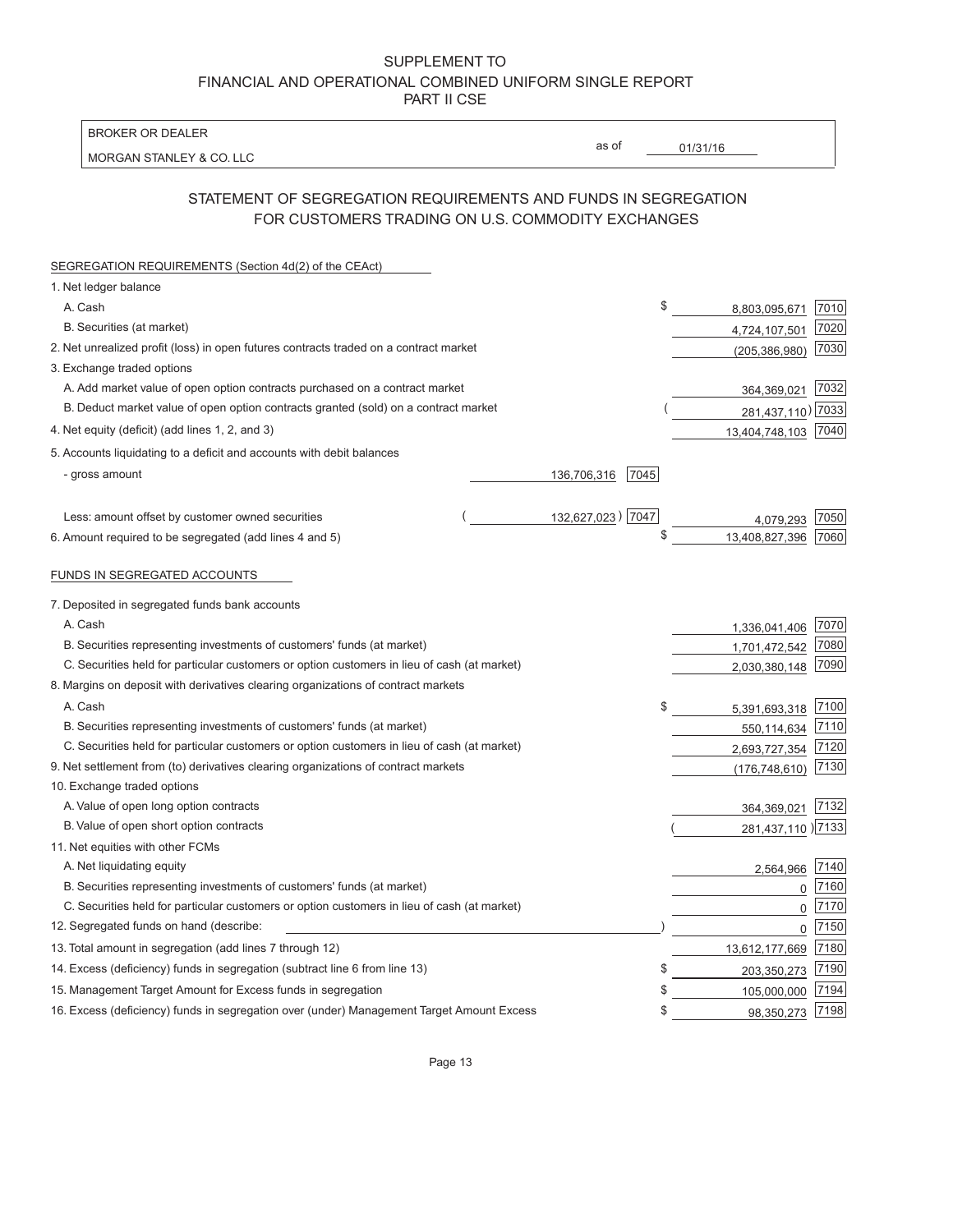| <b>BROKER OR DEALER</b>                                                                                                                                               |  |                     |          |                     |              |
|-----------------------------------------------------------------------------------------------------------------------------------------------------------------------|--|---------------------|----------|---------------------|--------------|
| MORGAN STANLEY & CO. LLC                                                                                                                                              |  | as of               | 01/31/16 |                     |              |
|                                                                                                                                                                       |  |                     |          |                     |              |
| STATEMENT OF SEGREGATION REQUIREMENTS AND FUNDS IN SEGREGATION                                                                                                        |  |                     |          |                     |              |
| FOR CUSTOMERS TRADING ON U.S. COMMODITY EXCHANGES                                                                                                                     |  |                     |          |                     |              |
| SEGREGATION REQUIREMENTS (Section 4d(2) of the CEAct)                                                                                                                 |  |                     |          |                     |              |
| 1. Net ledger balance                                                                                                                                                 |  |                     |          |                     |              |
| A. Cash                                                                                                                                                               |  |                     | \$       | 8,803,095,671       | 7010         |
| B. Securities (at market)                                                                                                                                             |  |                     |          | 4,724,107,501       | 7020         |
| 2. Net unrealized profit (loss) in open futures contracts traded on a contract market                                                                                 |  |                     |          | (205, 386, 980)     | 7030         |
| 3. Exchange traded options                                                                                                                                            |  |                     |          |                     |              |
| A. Add market value of open option contracts purchased on a contract market                                                                                           |  |                     |          | 364,369,021         | 7032         |
| B. Deduct market value of open option contracts granted (sold) on a contract market                                                                                   |  |                     |          | 281,437,110) 7033   |              |
| 4. Net equity (deficit) (add lines 1, 2, and 3)                                                                                                                       |  |                     |          | 13,404,748,103 7040 |              |
| 5. Accounts liquidating to a deficit and accounts with debit balances                                                                                                 |  |                     |          |                     |              |
| - gross amount                                                                                                                                                        |  | 136,706,316<br>7045 |          |                     |              |
|                                                                                                                                                                       |  |                     |          |                     |              |
| Less: amount offset by customer owned securities                                                                                                                      |  | 132,627,023) 7047   |          | 4,079,293           | 7050         |
| 6. Amount required to be segregated (add lines 4 and 5)                                                                                                               |  |                     | \$       | 13,408,827,396      | 7060         |
|                                                                                                                                                                       |  |                     |          |                     |              |
| FUNDS IN SEGREGATED ACCOUNTS                                                                                                                                          |  |                     |          |                     |              |
| 7. Deposited in segregated funds bank accounts                                                                                                                        |  |                     |          |                     |              |
| A. Cash                                                                                                                                                               |  |                     |          |                     |              |
|                                                                                                                                                                       |  |                     |          | 1,336,041,406       | 7070<br>7080 |
| B. Securities representing investments of customers' funds (at market)<br>C. Securities held for particular customers or option customers in lieu of cash (at market) |  |                     |          | 1,701,472,542       | 7090         |
| 8. Margins on deposit with derivatives clearing organizations of contract markets                                                                                     |  |                     |          | 2,030,380,148       |              |
| A. Cash                                                                                                                                                               |  |                     | \$       |                     | 7100         |
| B. Securities representing investments of customers' funds (at market)                                                                                                |  |                     |          | 5,391,693,318       | 7110         |
| C. Securities held for particular customers or option customers in lieu of cash (at market)                                                                           |  |                     |          | 550,114,634         |              |
| 9. Net settlement from (to) derivatives clearing organizations of contract markets                                                                                    |  |                     |          | 2,693,727,354       | 7120<br>7130 |
| 10. Exchange traded options                                                                                                                                           |  |                     |          | (176, 748, 610)     |              |
| A. Value of open long option contracts                                                                                                                                |  |                     |          | 364,369,021         | 7132         |
| B. Value of open short option contracts                                                                                                                               |  |                     |          | 281,437,110 27133   |              |
| 11. Net equities with other FCMs                                                                                                                                      |  |                     |          |                     |              |
| A. Net liquidating equity                                                                                                                                             |  |                     |          | 2,564,966           | 7140         |
| B. Securities representing investments of customers' funds (at market)                                                                                                |  |                     |          | 0                   | 7160         |
| C. Securities held for particular customers or option customers in lieu of cash (at market)                                                                           |  |                     |          | 0                   | 7170         |
| 12. Segregated funds on hand (describe:                                                                                                                               |  |                     |          | 0                   | 7150         |
| 13. Total amount in segregation (add lines 7 through 12)                                                                                                              |  |                     |          | 13,612,177,669      | 7180         |
| 14. Excess (deficiency) funds in segregation (subtract line 6 from line 13)                                                                                           |  |                     | S        | 203,350,273         | 7190         |
| 15. Management Target Amount for Excess funds in segregation                                                                                                          |  |                     | \$       | 105,000,000         | 7194         |
| 16. Excess (deficiency) funds in segregation over (under) Management Target Amount Excess                                                                             |  |                     | \$       | 98,350,273 7198     |              |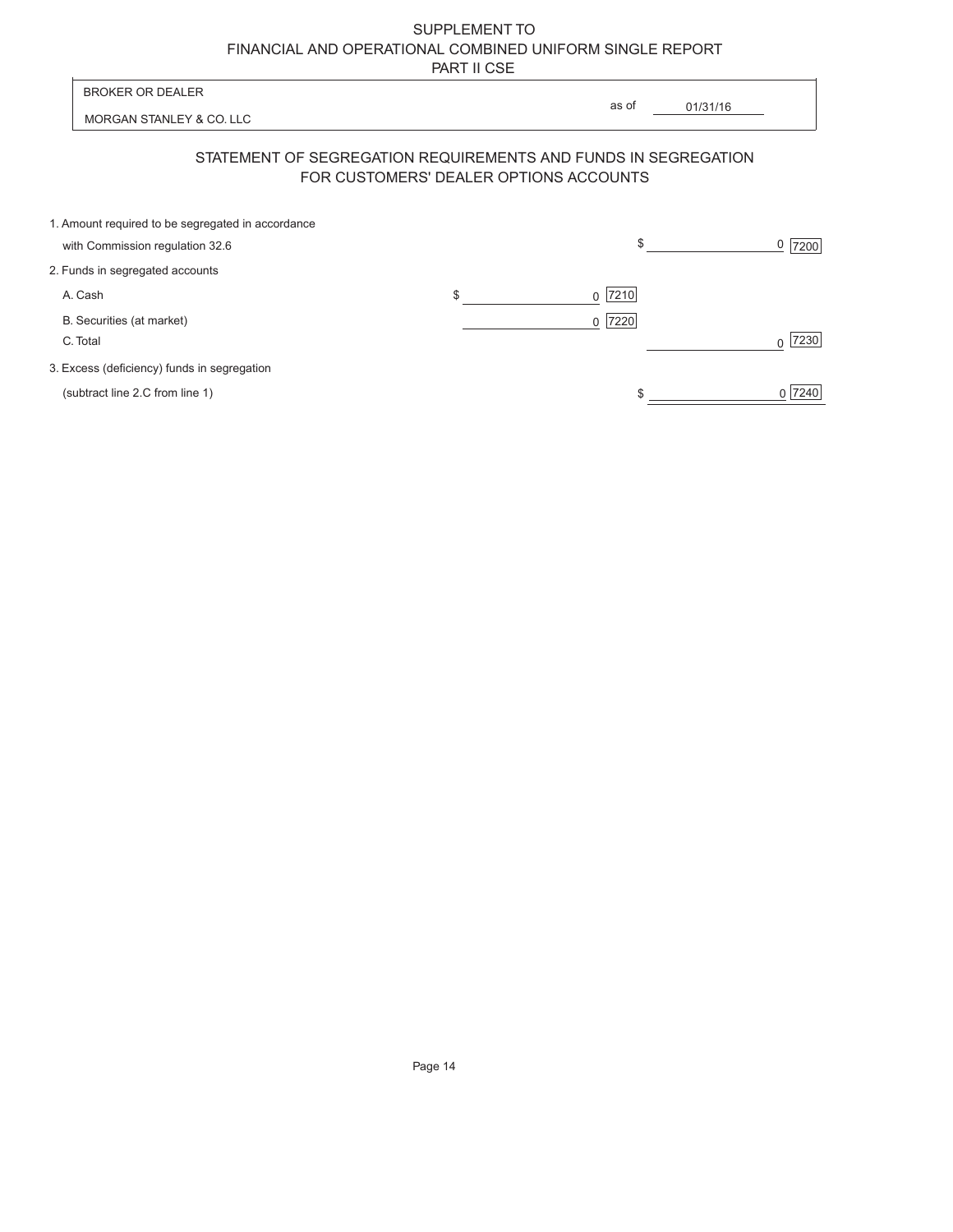|                          | <b>BROKER OR DEALER</b>                                                                                  | as of                  |          |                        |
|--------------------------|----------------------------------------------------------------------------------------------------------|------------------------|----------|------------------------|
| MORGAN STANLEY & CO. LLC |                                                                                                          |                        | 01/31/16 |                        |
|                          | STATEMENT OF SEGREGATION REQUIREMENTS AND FUNDS IN SEGREGATION<br>FOR CUSTOMERS' DEALER OPTIONS ACCOUNTS |                        |          |                        |
|                          | 1. Amount required to be segregated in accordance<br>with Commission regulation 32.6                     | \$                     |          | 0 <sup>1</sup><br>7200 |
|                          | 2. Funds in segregated accounts                                                                          |                        |          |                        |
|                          | A. Cash                                                                                                  | \$<br>7210<br>$\Omega$ |          |                        |
|                          | B. Securities (at market)<br>C. Total                                                                    | 7220<br>0              |          | 7230                   |
|                          | 3. Excess (deficiency) funds in segregation                                                              |                        |          |                        |
|                          | (subtract line 2.C from line 1)                                                                          |                        |          | 7240                   |
|                          |                                                                                                          |                        |          |                        |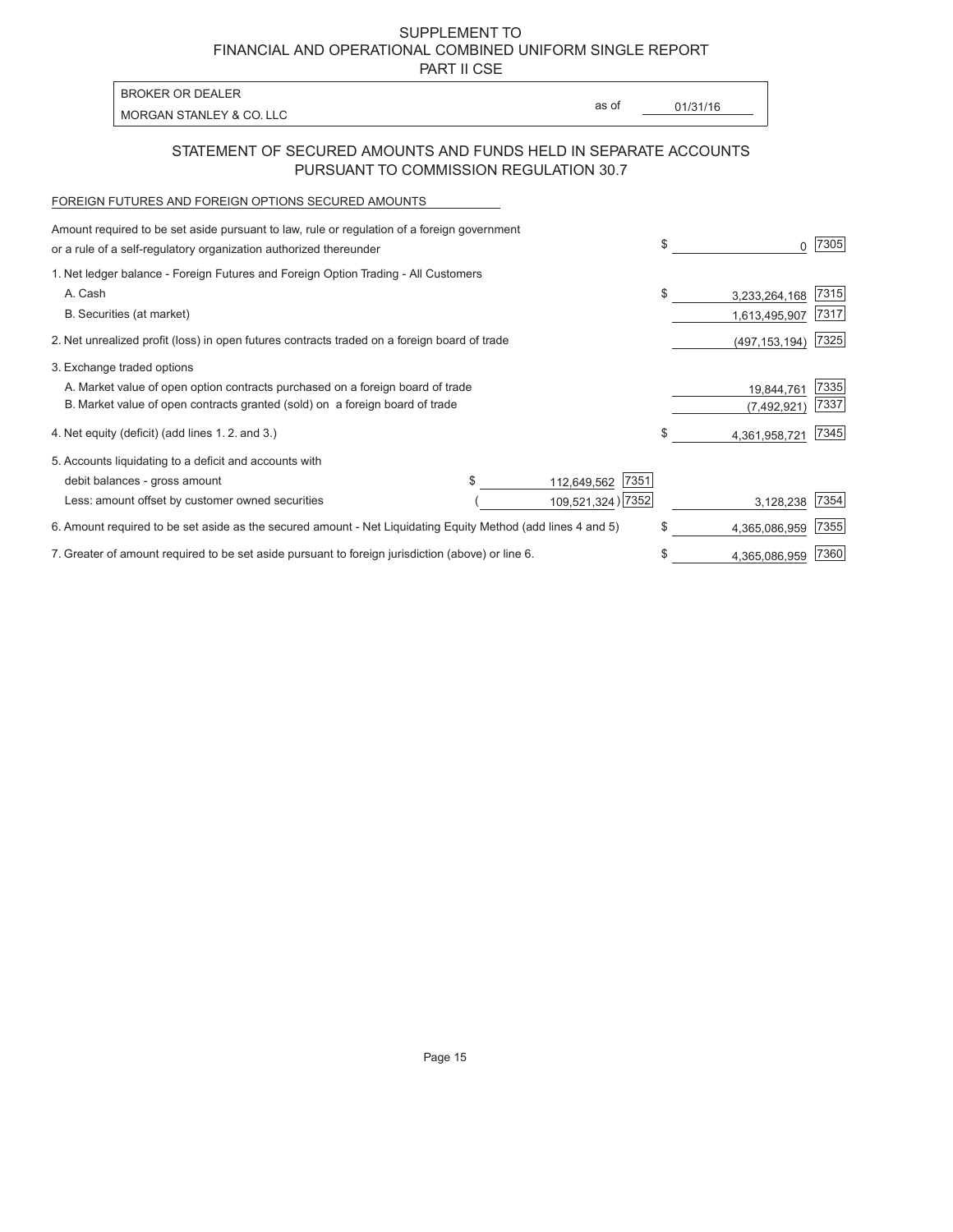PART II CSE

MORGAN STANLEY & CO. LLC **a**s of <u>01/31/16</u>

as of

### STATEMENT OF SECURED AMOUNTS AND FUNDS HELD IN SEPARATE ACCOUNTS PURSUANT TO COMMISSION REGULATION 30.7

### FOREIGN FUTURES AND FOREIGN OPTIONS SECURED AMOUNTS

BROKER OR DEALER

| Amount required to be set aside pursuant to law, rule or regulation of a foreign government                  |  |                     |                     |      |
|--------------------------------------------------------------------------------------------------------------|--|---------------------|---------------------|------|
| or a rule of a self-regulatory organization authorized thereunder                                            |  |                     | \$                  | 7305 |
| 1. Net ledger balance - Foreign Futures and Foreign Option Trading - All Customers                           |  |                     |                     |      |
| A. Cash                                                                                                      |  |                     | \$<br>3,233,264,168 | 7315 |
| B. Securities (at market)                                                                                    |  |                     | 1,613,495,907       | 7317 |
| 2. Net unrealized profit (loss) in open futures contracts traded on a foreign board of trade                 |  |                     | (497, 153, 194)     | 7325 |
| 3. Exchange traded options                                                                                   |  |                     |                     |      |
| A. Market value of open option contracts purchased on a foreign board of trade                               |  |                     | 19,844,761          | 7335 |
| B. Market value of open contracts granted (sold) on a foreign board of trade                                 |  |                     | (7, 492, 921)       | 7337 |
| 4. Net equity (deficit) (add lines 1.2. and 3.)                                                              |  |                     | 4,361,958,721       | 7345 |
| 5. Accounts liquidating to a deficit and accounts with                                                       |  |                     |                     |      |
| debit balances - gross amount                                                                                |  | 7351<br>112,649,562 |                     |      |
| Less: amount offset by customer owned securities                                                             |  | 109,521,324) 7352   | 3,128,238           | 7354 |
| 6. Amount required to be set aside as the secured amount - Net Liquidating Equity Method (add lines 4 and 5) |  |                     | \$<br>4,365,086,959 | 7355 |
| 7. Greater of amount required to be set aside pursuant to foreign jurisdiction (above) or line 6.            |  |                     | \$<br>4,365,086,959 | 7360 |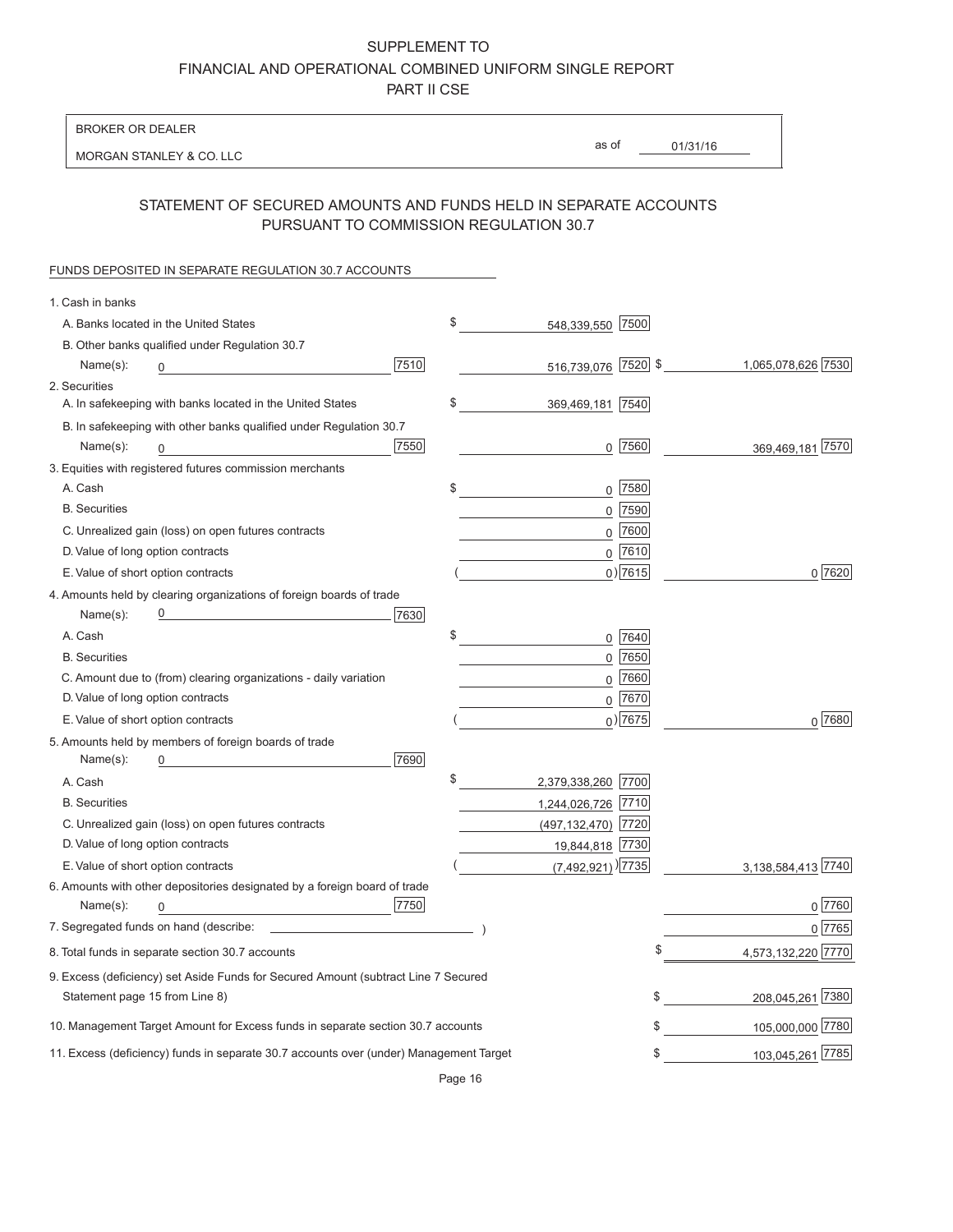BROKER OR DEALER

MORGAN STANLEY & CO. LLC

01/31/16 as of

### STATEMENT OF SECURED AMOUNTS AND FUNDS HELD IN SEPARATE ACCOUNTS PURSUANT TO COMMISSION REGULATION 30.7

#### FUNDS DEPOSITED IN SEPARATE REGULATION 30.7 ACCOUNTS

| \$                                                                                                                                                                                                                                                                    |                                                                                                                                                                                                                                                                                                                               |
|-----------------------------------------------------------------------------------------------------------------------------------------------------------------------------------------------------------------------------------------------------------------------|-------------------------------------------------------------------------------------------------------------------------------------------------------------------------------------------------------------------------------------------------------------------------------------------------------------------------------|
|                                                                                                                                                                                                                                                                       |                                                                                                                                                                                                                                                                                                                               |
|                                                                                                                                                                                                                                                                       | 1,065,078,626 7530                                                                                                                                                                                                                                                                                                            |
|                                                                                                                                                                                                                                                                       |                                                                                                                                                                                                                                                                                                                               |
|                                                                                                                                                                                                                                                                       |                                                                                                                                                                                                                                                                                                                               |
|                                                                                                                                                                                                                                                                       |                                                                                                                                                                                                                                                                                                                               |
|                                                                                                                                                                                                                                                                       | 369,469,181 7570                                                                                                                                                                                                                                                                                                              |
|                                                                                                                                                                                                                                                                       |                                                                                                                                                                                                                                                                                                                               |
| \$                                                                                                                                                                                                                                                                    |                                                                                                                                                                                                                                                                                                                               |
|                                                                                                                                                                                                                                                                       |                                                                                                                                                                                                                                                                                                                               |
|                                                                                                                                                                                                                                                                       |                                                                                                                                                                                                                                                                                                                               |
|                                                                                                                                                                                                                                                                       |                                                                                                                                                                                                                                                                                                                               |
|                                                                                                                                                                                                                                                                       | 0 7620                                                                                                                                                                                                                                                                                                                        |
|                                                                                                                                                                                                                                                                       |                                                                                                                                                                                                                                                                                                                               |
|                                                                                                                                                                                                                                                                       |                                                                                                                                                                                                                                                                                                                               |
| \$                                                                                                                                                                                                                                                                    |                                                                                                                                                                                                                                                                                                                               |
|                                                                                                                                                                                                                                                                       |                                                                                                                                                                                                                                                                                                                               |
|                                                                                                                                                                                                                                                                       |                                                                                                                                                                                                                                                                                                                               |
|                                                                                                                                                                                                                                                                       |                                                                                                                                                                                                                                                                                                                               |
|                                                                                                                                                                                                                                                                       | 0 7680                                                                                                                                                                                                                                                                                                                        |
|                                                                                                                                                                                                                                                                       |                                                                                                                                                                                                                                                                                                                               |
|                                                                                                                                                                                                                                                                       |                                                                                                                                                                                                                                                                                                                               |
| \$                                                                                                                                                                                                                                                                    |                                                                                                                                                                                                                                                                                                                               |
|                                                                                                                                                                                                                                                                       |                                                                                                                                                                                                                                                                                                                               |
|                                                                                                                                                                                                                                                                       |                                                                                                                                                                                                                                                                                                                               |
|                                                                                                                                                                                                                                                                       |                                                                                                                                                                                                                                                                                                                               |
|                                                                                                                                                                                                                                                                       | 3,138,584,413 7740                                                                                                                                                                                                                                                                                                            |
|                                                                                                                                                                                                                                                                       |                                                                                                                                                                                                                                                                                                                               |
|                                                                                                                                                                                                                                                                       | 0 7760                                                                                                                                                                                                                                                                                                                        |
|                                                                                                                                                                                                                                                                       | 0 7765                                                                                                                                                                                                                                                                                                                        |
|                                                                                                                                                                                                                                                                       | 4,573,132,220 7770                                                                                                                                                                                                                                                                                                            |
|                                                                                                                                                                                                                                                                       |                                                                                                                                                                                                                                                                                                                               |
|                                                                                                                                                                                                                                                                       | \$<br>208,045,261 7380                                                                                                                                                                                                                                                                                                        |
|                                                                                                                                                                                                                                                                       | 105,000,000 7780<br>\$                                                                                                                                                                                                                                                                                                        |
|                                                                                                                                                                                                                                                                       | 103,045,261 7785<br>\$                                                                                                                                                                                                                                                                                                        |
| \$<br>9. Excess (deficiency) set Aside Funds for Secured Amount (subtract Line 7 Secured<br>10. Management Target Amount for Excess funds in separate section 30.7 accounts<br>11. Excess (deficiency) funds in separate 30.7 accounts over (under) Management Target | 548,339,550 7500<br>516,739,076 7520 \$<br>369,469,181 7540<br>$0$ 7560<br>$0$ 7580<br>$0$  7590 <br>$0$ 7600<br>$0$ 7610<br>$0)$ 7615<br>$0$ 7640<br>$0$ 7650<br>$0$ 7660<br>$0$ 7670<br>$0)$ 7675<br>2,379,338,260 7700<br>1,244,026,726 7710<br>(497, 132, 470) 7720<br>19,844,818 7730<br>$(7,492,921)$ <sup>[7735]</sup> |